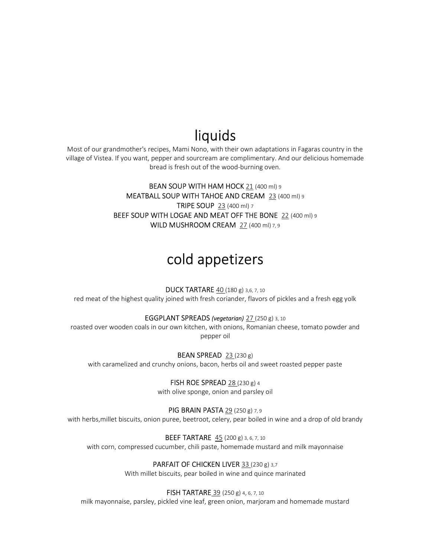# liquids

Most of our grandmother's recipes, Mami Nono, with their own adaptations in Fagaras country in the village of Vistea. If you want, pepper and sourcream are complimentary. And our delicious homemade bread is fresh out of the wood-burning oven.

> BEAN SOUP WITH HAM HOCK 21 (400 ml) 9 MEATBALL SOUP WITH TAHOE AND CREAM 23 (400 ml) <sup>9</sup> TRIPE SOUP 23 (400 ml) 7 BEEF SOUP WITH LOGAE AND MEAT OFF THE BONE 22 (400 ml) 9 WILD MUSHROOM CREAM 27 (400 ml) 7, 9

# cold appetizers

### **DUCK TARTARE 40 (180 g) 3,6, 7, 10**

red meat of the highest quality joined with fresh coriander, flavors of pickles and a fresh egg yolk

#### EGGPLANT SPREADS (vegetarian) 27 (250 g) 3, 10

roasted over wooden coals in our own kitchen, with onions, Romanian cheese, tomato powder and pepper oil

**BEAN SPREAD** 23 (230 g)

with caramelized and crunchy onions, bacon, herbs oil and sweet roasted pepper paste

FISH ROE SPREAD 28 (230 g) <sup>4</sup>

with olive sponge, onion and parsley oil

PIG BRAIN PASTA 29 (250 g) 7, 9 with herbs,millet biscuits, onion puree, beetroot, celery, pear boiled in wine and a drop of old brandy

**BEEF TARTARE** 45 (200 g) 3, 6, 7, 10 with corn, compressed cucumber, chili paste, homemade mustard and milk mayonnaise

PARFAIT OF CHICKEN LIVER 33 (230 g) 3,7

With millet biscuits, pear boiled in wine and quince marinated

FISH TARTARE 39 (250 g) 4, 6, 7, 10

milk mayonnaise, parsley, pickled vine leaf, green onion, marjoram and homemade mustard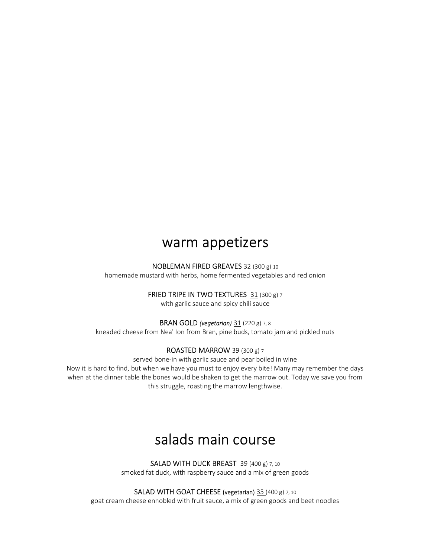# warm appetizers

NOBLEMAN FIRED GREAVES 32 (300 g) 10

homemade mustard with herbs, home fermented vegetables and red onion

### FRIED TRIPE IN TWO TEXTURES  $31$  (300 g) 7

with garlic sauce and spicy chili sauce

### **BRAN GOLD (vegetarian)** 31 (220 g) 7, 8

kneaded cheese from Nea' Ion from Bran, pine buds, tomato jam and pickled nuts

### ROASTED MARROW 39 (300 g) <sup>7</sup>

served bone-in with garlic sauce and pear boiled in wine Now it is hard to find, but when we have you must to enjoy every bite! Many may remember the days when at the dinner table the bones would be shaken to get the marrow out. Today we save you from this struggle, roasting the marrow lengthwise.

# salads main course

**SALAD WITH DUCK BREAST** 39 (400 g) 7, 10

smoked fat duck, with raspberry sauce and a mix of green goods

SALAD WITH GOAT CHEESE (vegetarian) 35 (400 g) 7, 10

goat cream cheese ennobled with fruit sauce, a mix of green goods and beet noodles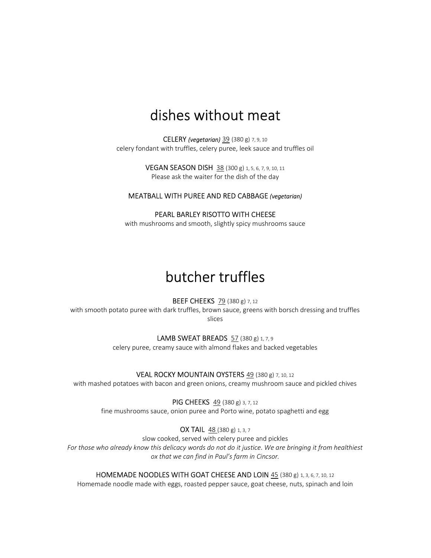# dishes without meat

CELERY (vegetarian) 39 (380 g) 7, 9, 10 celery fondant with truffles, celery puree, leek sauce and truffles oil

> **VEGAN SEASON DISH 38 (300 g) 1, 5, 6, 7, 9, 10, 11** Please ask the waiter for the dish of the day

#### MEATBALL WITH PUREE AND RED CABBAGE (vegetarian)

#### PEARL BARLEY RISOTTO WITH CHEESE

with mushrooms and smooth, slightly spicy mushrooms sauce

# butcher truffles

#### **BEEF CHEEKS** 79 (380 g) 7, 12

with smooth potato puree with dark truffles, brown sauce, greens with borsch dressing and truffles slices

**LAMB SWEAT BREADS** 57 (380 g) 1, 7, 9

celery puree, creamy sauce with almond flakes and backed vegetables

#### VEAL ROCKY MOUNTAIN OYSTERS 49 (380 g) 7, 10, 12

with mashed potatoes with bacon and green onions, creamy mushroom sauce and pickled chives

PIG CHEEKS 49 (380 g) 3, 7, 12 fine mushrooms sauce, onion puree and Porto wine, potato spaghetti and egg

#### **OX TAIL** 48 (380 g) 1, 3, 7

slow cooked, served with celery puree and pickles For those who already know this delicacy words do not do it justice. We are bringing it from healthiest ox that we can find in Paul's farm in Cincsor.

HOMEMADE NOODLES WITH GOAT CHEESE AND LOIN 45 (380 g) 1, 3, 6, 7, 10, 12 Homemade noodle made with eggs, roasted pepper sauce, goat cheese, nuts, spinach and loin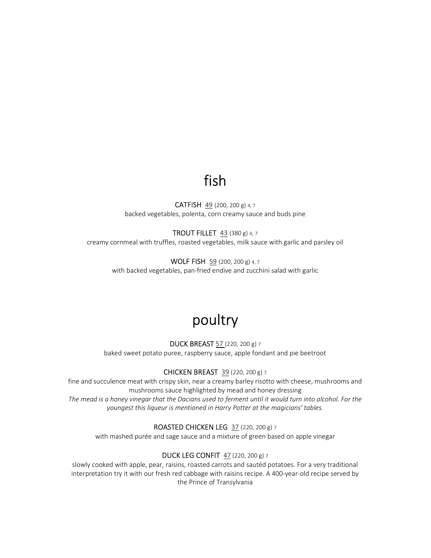# fish

CATFISH 49 (200, 200 g) 4, 7 backed vegetables, polenta, corn creamy sauce and buds pine

TROUT FILLET 43 (380 g) 4, <sup>7</sup> creamy cornmeal with truffles, roasted vegetables, milk sauce with garlic and parsley oil

WOLF FISH 59 (200, 200 g) 4, 7 with backed vegetables, pan-fried endive and zucchini salad with garlic

# poultry

DUCK BREAST 57 (220, 200 g) <sup>7</sup>

baked sweet potato puree, raspberry sauce, apple fondant and pie beetroot

## **CHICKEN BREAST** 39 (220, 200 g) 7

fine and succulence meat with crispy skin, near a creamy barley risotto with cheese, mushrooms and mushrooms sauce highlighted by mead and honey dressing The mead is a honey vinegar that the Dacians used to ferment until it would turn into alcohol. For the youngest this liqueur is mentioned in Harry Potter at the magicians' tables.

## ROASTED CHICKEN LEG 37 (220, 200 g) 7

with mashed purée and sage sauce and a mixture of green based on apple vinegar

## DUCK LEG CONFIT 47 (220, 200 g) <sup>7</sup>

slowly cooked with apple, pear, raisins, roasted carrots and sautéd potatoes. For a very traditional interpretation try it with our fresh red cabbage with raisins recipe. A 400-year-old recipe served by the Prince of Transylvania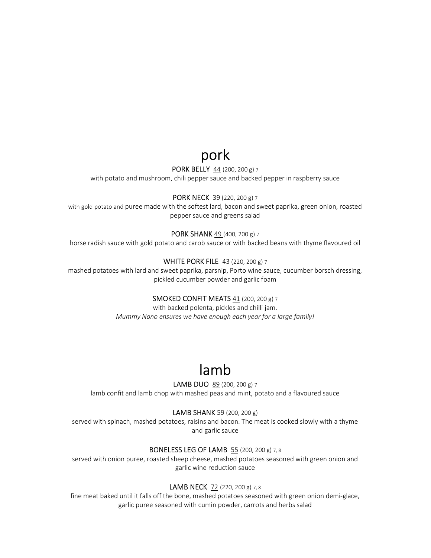# pork

### PORK BELLY 44 (200, 200 g) 7

with potato and mushroom, chili pepper sauce and backed pepper in raspberry sauce

## PORK NECK 39 (220, 200 g) 7

with gold potato and puree made with the softest lard, bacon and sweet paprika, green onion, roasted pepper sauce and greens salad

### PORK SHANK 49 (400, 200 g) <sup>7</sup>

horse radish sauce with gold potato and carob sauce or with backed beans with thyme flavoured oil

### WHITE PORK FILE 43 (220, 200 g) 7

mashed potatoes with lard and sweet paprika, parsnip, Porto wine sauce, cucumber borsch dressing, pickled cucumber powder and garlic foam

## SMOKED CONFIT MEATS 41 (200, 200 g) 7

with backed polenta, pickles and chilli jam. Mummy Nono ensures we have enough each year for a large family!

# lamb

LAMB DUO 89 (200, 200 g) 7

lamb confit and lamb chop with mashed peas and mint, potato and a flavoured sauce

### LAMB SHANK 59 (200, 200 g)

served with spinach, mashed potatoes, raisins and bacon. The meat is cooked slowly with a thyme and garlic sauce

### **BONELESS LEG OF LAMB 55 (200, 200 g) 7, 8**

served with onion puree, roasted sheep cheese, mashed potatoes seasoned with green onion and garlic wine reduction sauce

#### LAMB NECK 72 (220, 200 g) 7, 8

fine meat baked until it falls off the bone, mashed potatoes seasoned with green onion demi-glace, garlic puree seasoned with cumin powder, carrots and herbs salad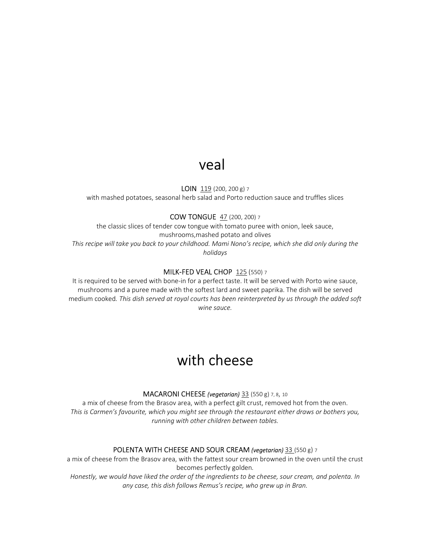# veal

**LOIN**  $\frac{119}{2}$  (200, 200 g) 7 with mashed potatoes, seasonal herb salad and Porto reduction sauce and truffles slices

### COW TONGUE 47 (200, 200) <sup>7</sup>

the classic slices of tender cow tongue with tomato puree with onion, leek sauce, mushrooms,mashed potato and olives This recipe will take you back to your childhood. Mami Nono's recipe, which she did only during the holidays

#### MILK-FED VEAL CHOP 125 (550) 7

It is required to be served with bone-in for a perfect taste. It will be served with Porto wine sauce, mushrooms and a puree made with the softest lard and sweet paprika. The dish will be served medium cooked. This dish served at royal courts has been reinterpreted by us through the added soft wine sauce.

# with cheese

MACARONI CHEESE (vegetarian) 33 (550 g) 7, 8, 10

a mix of cheese from the Brasov area, with a perfect gilt crust, removed hot from the oven. This is Carmen's favourite, which you might see through the restaurant either draws or bothers you, running with other children between tables.

#### POLENTA WITH CHEESE AND SOUR CREAM (vegetarian) 33 (550 g) 7

a mix of cheese from the Brasov area, with the fattest sour cream browned in the oven until the crust becomes perfectly golden.

Honestly, we would have liked the order of the ingredients to be cheese, sour cream, and polenta. In any case, this dish follows Remus's recipe, who grew up in Bran.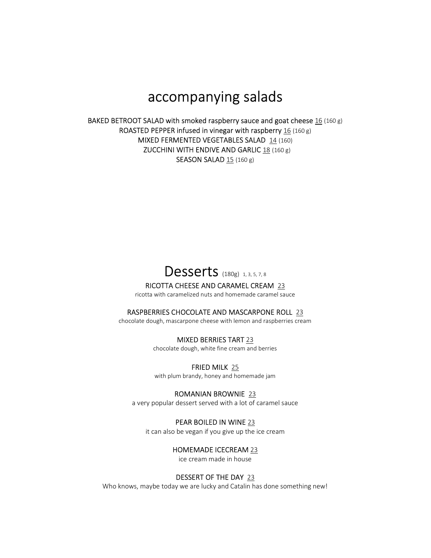# accompanying salads

BAKED BETROOT SALAD with smoked raspberry sauce and goat cheese 16 (160 g) ROASTED PEPPER infused in vinegar with raspberry  $16$  (160 g) MIXED FERMENTED VEGETABLES SALAD 14 (160) ZUCCHINI WITH ENDIVE AND GARLIC 18 (160 g) SEASON SALAD 15 (160 g)



### RICOTTA CHEESE AND CARAMEL CREAM 23

ricotta with caramelized nuts and homemade caramel sauce

#### RASPBERRIES CHOCOLATE AND MASCARPONE ROLL 23

chocolate dough, mascarpone cheese with lemon and raspberries cream

#### MIXED BERRIES TART 23

chocolate dough, white fine cream and berries

#### FRIED MILK 25

with plum brandy, honey and homemade jam

#### ROMANIAN BROWNIE 23

a very popular dessert served with a lot of caramel sauce

#### PEAR BOILED IN WINE 23

it can also be vegan if you give up the ice cream

#### HOMEMADE ICECREAM 23

ice cream made in house

### DESSERT OF THE DAY 23

Who knows, maybe today we are lucky and Catalin has done something new!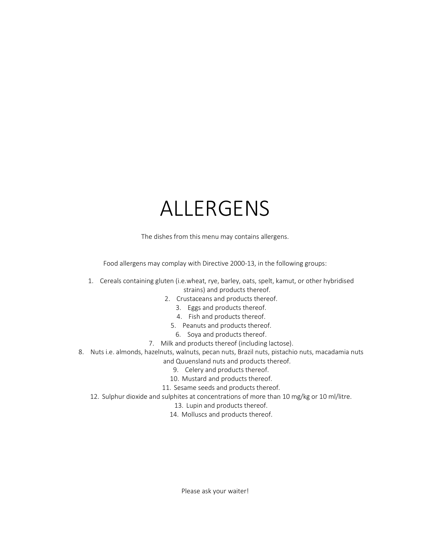# ALLERGENS

The dishes from this menu may contains allergens.

Food allergens may complay with Directive 2000-13, in the following groups:

- 1. Cereals containing gluten (i.e.wheat, rye, barley, oats, spelt, kamut, or other hybridised strains) and products thereof.
	- 2. Crustaceans and products thereof.
		- 3. Eggs and products thereof.
		- 4. Fish and products thereof.
		- 5. Peanuts and products thereof.
		- 6. Soya and products thereof.
	- 7. Milk and products thereof (including lactose).
- 8. Nuts i.e. almonds, hazelnuts, walnuts, pecan nuts, Brazil nuts, pistachio nuts, macadamia nuts
	- and Quuensland nuts and products thereof.
		- 9. Celery and products thereof.
		- 10. Mustard and products thereof.
	- 11. Sesame seeds and products thereof.
	- 12. Sulphur dioxide and sulphites at concentrations of more than 10 mg/kg or 10 ml/litre.
		- 13. Lupin and products thereof.
		- 14. Molluscs and products thereof.

Please ask your waiter!